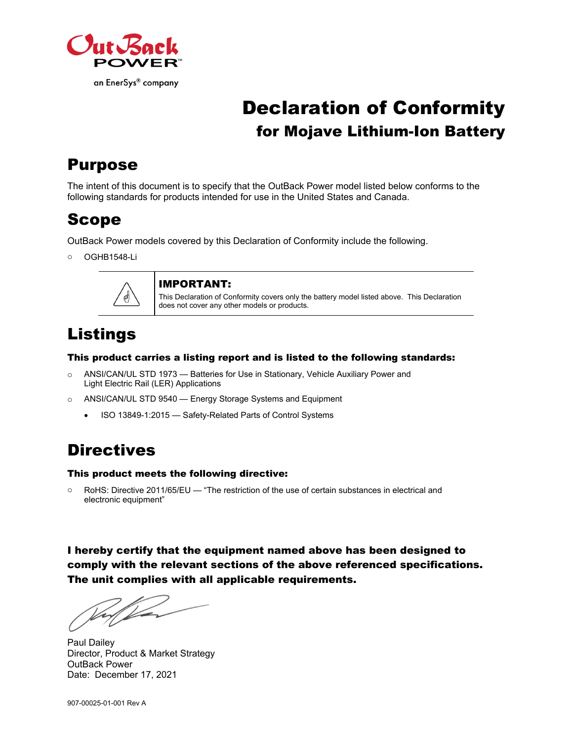

# Declaration of Conformity for Mojave Lithium-Ion Battery

## Purpose

The intent of this document is to specify that the OutBack Power model listed below conforms to the following standards for products intended for use in the United States and Canada.

## Scope

OutBack Power models covered by this Declaration of Conformity include the following.

o OGHB1548-Li



#### IMPORTANT:

This Declaration of Conformity covers only the battery model listed above. This Declaration does not cover any other models or products.

## Listings

#### This product carries a listing report and is listed to the following standards:

- o ANSI/CAN/UL STD 1973 Batteries for Use in Stationary, Vehicle Auxiliary Power and Light Electric Rail (LER) Applications
- o ANSI/CAN/UL STD 9540 Energy Storage Systems and Equipment
	- ISO 13849-1:2015 Safety-Related Parts of Control Systems

# **Directives**

#### This product meets the following directive:

o RoHS: Directive 2011/65/EU — "The restriction of the use of certain substances in electrical and electronic equipment"

I hereby certify that the equipment named above has been designed to comply with the relevant sections of the above referenced specifications. The unit complies with all applicable requirements.

Paul Dailey Director, Product & Market Strategy OutBack Power Date: December 17, 2021